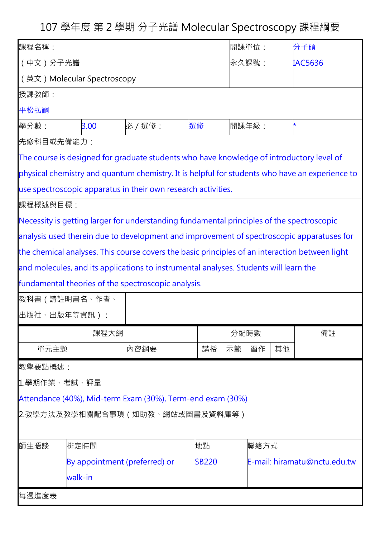107 學年度 第 2 學期 分子光譜 Molecular Spectroscopy 課程綱要

| 課程名稱:                                                                                          |                                               |                                                                                                |    | 開課單位:    |                              | 分子碩            |
|------------------------------------------------------------------------------------------------|-----------------------------------------------|------------------------------------------------------------------------------------------------|----|----------|------------------------------|----------------|
| (中文)分子光譜                                                                                       |                                               |                                                                                                |    | 永久課號:    |                              | <b>IAC5636</b> |
| (英文) Molecular Spectroscopy                                                                    |                                               |                                                                                                |    |          |                              |                |
| 授課教師:                                                                                          |                                               |                                                                                                |    |          |                              |                |
| 平松弘嗣                                                                                           |                                               |                                                                                                |    |          |                              |                |
| 學分數:                                                                                           | 3.00                                          | 必 / 選修:                                                                                        | 選修 | 開課年級:    |                              |                |
| 先修科目或先備能力:                                                                                     |                                               |                                                                                                |    |          |                              |                |
| The course is designed for graduate students who have knowledge of introductory level of       |                                               |                                                                                                |    |          |                              |                |
| physical chemistry and quantum chemistry. It is helpful for students who have an experience to |                                               |                                                                                                |    |          |                              |                |
| use spectroscopic apparatus in their own research activities.                                  |                                               |                                                                                                |    |          |                              |                |
| 課程概述與目標:                                                                                       |                                               |                                                                                                |    |          |                              |                |
| Necessity is getting larger for understanding fundamental principles of the spectroscopic      |                                               |                                                                                                |    |          |                              |                |
| analysis used therein due to development and improvement of spectroscopic apparatuses for      |                                               |                                                                                                |    |          |                              |                |
|                                                                                                |                                               | the chemical analyses. This course covers the basic principles of an interaction between light |    |          |                              |                |
|                                                                                                |                                               | and molecules, and its applications to instrumental analyses. Students will learn the          |    |          |                              |                |
|                                                                                                |                                               | fundamental theories of the spectroscopic analysis.                                            |    |          |                              |                |
| 教科書 (請註明書名、作者、                                                                                 |                                               |                                                                                                |    |          |                              |                |
| 出版社、出版年等資訊):                                                                                   |                                               |                                                                                                |    |          |                              |                |
|                                                                                                |                                               | 課程大網                                                                                           |    | 分配時數     |                              | 備註             |
| 單元主題                                                                                           |                                               | 内容綱要                                                                                           | 講授 | 示範<br>習作 | 其他                           |                |
| 教學要點概述:                                                                                        |                                               |                                                                                                |    |          |                              |                |
| 1.學期作業、考試、評量                                                                                   |                                               |                                                                                                |    |          |                              |                |
|                                                                                                |                                               | Attendance (40%), Mid-term Exam (30%), Term-end exam (30%)                                     |    |          |                              |                |
|                                                                                                |                                               | 2.教學方法及教學相關配合事項(如助教、網站或圖書及資料庫等)                                                                |    |          |                              |                |
|                                                                                                |                                               |                                                                                                |    |          |                              |                |
| 師生晤談                                                                                           | 排定時間                                          |                                                                                                | 地點 |          | 聯絡方式                         |                |
|                                                                                                | By appointment (preferred) or<br><b>SB220</b> |                                                                                                |    |          | E-mail: hiramatu@nctu.edu.tw |                |
|                                                                                                | walk-in                                       |                                                                                                |    |          |                              |                |
| 每週進度表                                                                                          |                                               |                                                                                                |    |          |                              |                |
|                                                                                                |                                               |                                                                                                |    |          |                              |                |